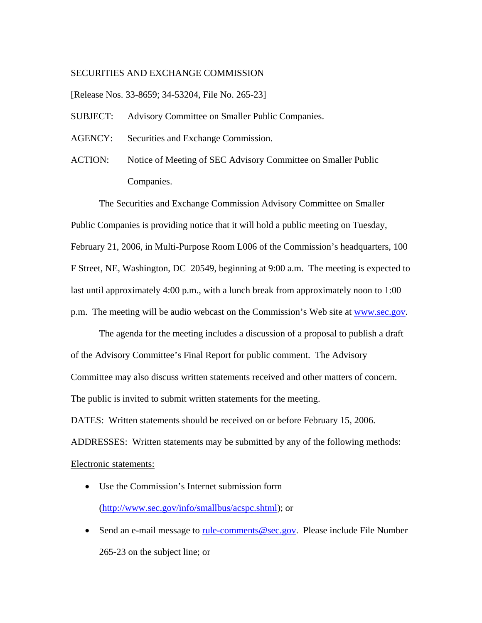## SECURITIES AND EXCHANGE COMMISSION

[Release Nos. 33-8659; 34-53204, File No. 265-23]

- SUBJECT: Advisory Committee on Smaller Public Companies.
- AGENCY: Securities and Exchange Commission.
- ACTION: Notice of Meeting of SEC Advisory Committee on Smaller Public Companies.

The Securities and Exchange Commission Advisory Committee on Smaller Public Companies is providing notice that it will hold a public meeting on Tuesday, February 21, 2006, in Multi-Purpose Room L006 of the Commission's headquarters, 100 F Street, NE, Washington, DC 20549, beginning at 9:00 a.m. The meeting is expected to last until approximately 4:00 p.m., with a lunch break from approximately noon to 1:00 p.m. The meeting will be audio webcast on the Commission's Web site at www.sec.gov.

 The agenda for the meeting includes a discussion of a proposal to publish a draft of the Advisory Committee's Final Report for public comment. The Advisory Committee may also discuss written statements received and other matters of concern. The public is invited to submit written statements for the meeting.

DATES: Written statements should be received on or before February 15, 2006.

ADDRESSES: Written statements may be submitted by any of the following methods: Electronic statements:

- Use the Commission's Internet submission form (http://www.sec.gov/info/smallbus/acspc.shtml); or
- Send an e-mail message to rule-comments@sec.gov. Please include File Number 265-23 on the subject line; or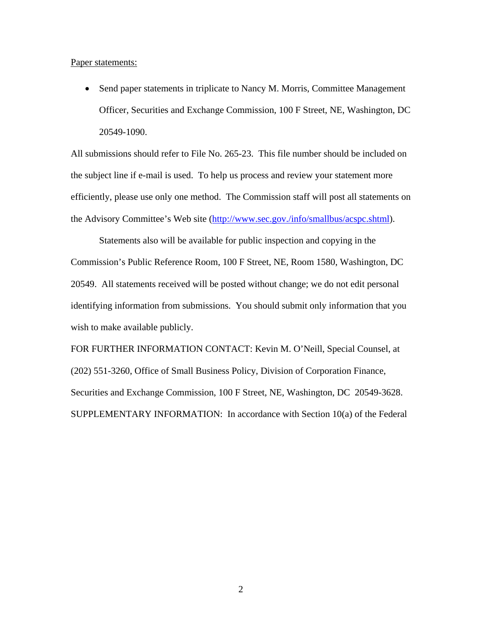Paper statements:

• Send paper statements in triplicate to Nancy M. Morris, Committee Management Officer, Securities and Exchange Commission, 100 F Street, NE, Washington, DC 20549-1090.

All submissions should refer to File No. 265-23. This file number should be included on the subject line if e-mail is used. To help us process and review your statement more efficiently, please use only one method. The Commission staff will post all statements on the Advisory Committee's Web site (http://www.sec.gov./info/smallbus/acspc.shtml).

Statements also will be available for public inspection and copying in the Commission's Public Reference Room, 100 F Street, NE, Room 1580, Washington, DC 20549. All statements received will be posted without change; we do not edit personal identifying information from submissions. You should submit only information that you wish to make available publicly.

FOR FURTHER INFORMATION CONTACT: Kevin M. O'Neill, Special Counsel, at (202) 551-3260, Office of Small Business Policy, Division of Corporation Finance, Securities and Exchange Commission, 100 F Street, NE, Washington, DC 20549-3628. SUPPLEMENTARY INFORMATION: In accordance with Section 10(a) of the Federal

2